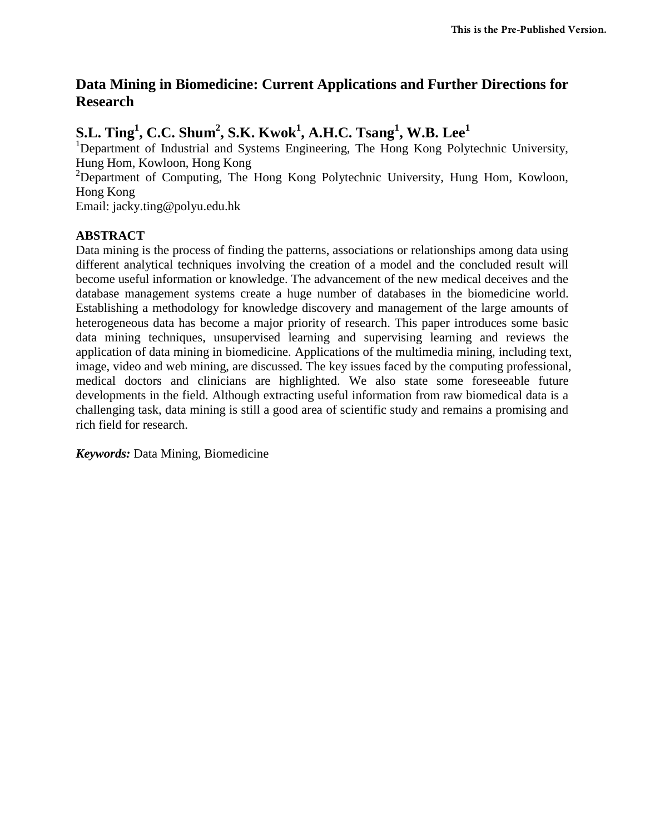## **Data Mining in Biomedicine: Current Applications and Further Directions for Research**

# **S.L. Ting<sup>1</sup> , C.C. Shum<sup>2</sup> , S.K. Kwok<sup>1</sup> , A.H.C. Tsang<sup>1</sup> , W.B. Lee<sup>1</sup>**

<sup>1</sup>Department of Industrial and Systems Engineering, The Hong Kong Polytechnic University, Hung Hom, Kowloon, Hong Kong

<sup>2</sup>Department of Computing, The Hong Kong Polytechnic University, Hung Hom, Kowloon, Hong Kong

Email: jacky.ting@polyu.edu.hk

## **ABSTRACT**

Data mining is the process of finding the patterns, associations or relationships among data using different analytical techniques involving the creation of a model and the concluded result will become useful information or knowledge. The advancement of the new medical deceives and the database management systems create a huge number of databases in the biomedicine world. Establishing a methodology for knowledge discovery and management of the large amounts of heterogeneous data has become a major priority of research. This paper introduces some basic data mining techniques, unsupervised learning and supervising learning and reviews the application of data mining in biomedicine. Applications of the multimedia mining, including text, image, video and web mining, are discussed. The key issues faced by the computing professional, medical doctors and clinicians are highlighted. We also state some foreseeable future developments in the field. Although extracting useful information from raw biomedical data is a challenging task, data mining is still a good area of scientific study and remains a promising and rich field for research.

*Keywords:* Data Mining, Biomedicine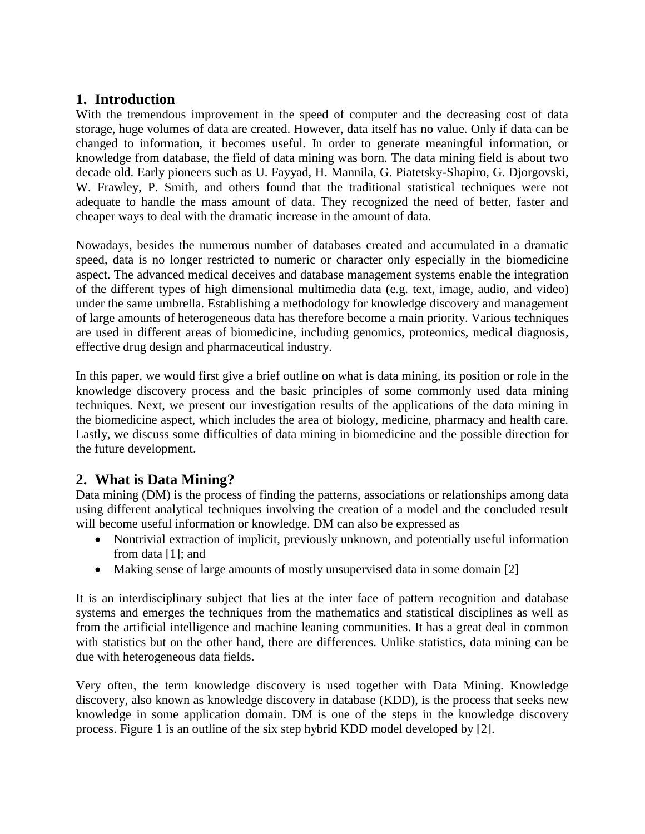## **1. Introduction**

With the tremendous improvement in the speed of computer and the decreasing cost of data storage, huge volumes of data are created. However, data itself has no value. Only if data can be changed to information, it becomes useful. In order to generate meaningful information, or knowledge from database, the field of data mining was born. The data mining field is about two decade old. Early pioneers such as U. Fayyad, H. Mannila, G. Piatetsky-Shapiro, G. Djorgovski, W. Frawley, P. Smith, and others found that the traditional statistical techniques were not adequate to handle the mass amount of data. They recognized the need of better, faster and cheaper ways to deal with the dramatic increase in the amount of data.

Nowadays, besides the numerous number of databases created and accumulated in a dramatic speed, data is no longer restricted to numeric or character only especially in the biomedicine aspect. The advanced medical deceives and database management systems enable the integration of the different types of high dimensional multimedia data (e.g. text, image, audio, and video) under the same umbrella. Establishing a methodology for knowledge discovery and management of large amounts of heterogeneous data has therefore become a main priority. Various techniques are used in different areas of biomedicine, including genomics, proteomics, medical diagnosis, effective drug design and pharmaceutical industry.

In this paper, we would first give a brief outline on what is data mining, its position or role in the knowledge discovery process and the basic principles of some commonly used data mining techniques. Next, we present our investigation results of the applications of the data mining in the biomedicine aspect, which includes the area of biology, medicine, pharmacy and health care. Lastly, we discuss some difficulties of data mining in biomedicine and the possible direction for the future development.

## **2. What is Data Mining?**

Data mining (DM) is the process of finding the patterns, associations or relationships among data using different analytical techniques involving the creation of a model and the concluded result will become useful information or knowledge. DM can also be expressed as

- Nontrivial extraction of implicit, previously unknown, and potentially useful information from data [1]; and
- Making sense of large amounts of mostly unsupervised data in some domain [2]

It is an interdisciplinary subject that lies at the inter face of pattern recognition and database systems and emerges the techniques from the mathematics and statistical disciplines as well as from the artificial intelligence and machine leaning communities. It has a great deal in common with statistics but on the other hand, there are differences. Unlike statistics, data mining can be due with heterogeneous data fields.

Very often, the term knowledge discovery is used together with Data Mining. Knowledge discovery, also known as knowledge discovery in database (KDD), is the process that seeks new knowledge in some application domain. DM is one of the steps in the knowledge discovery process. Figure 1 is an outline of the six step hybrid KDD model developed by [2].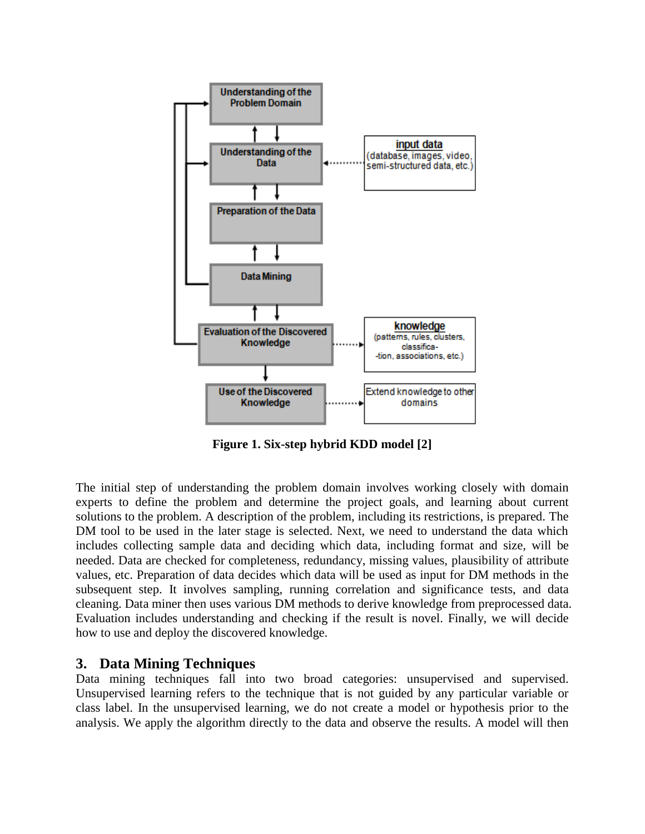

**Figure 1. Six-step hybrid KDD model [2]**

The initial step of understanding the problem domain involves working closely with domain experts to define the problem and determine the project goals, and learning about current solutions to the problem. A description of the problem, including its restrictions, is prepared. The DM tool to be used in the later stage is selected. Next, we need to understand the data which includes collecting sample data and deciding which data, including format and size, will be needed. Data are checked for completeness, redundancy, missing values, plausibility of attribute values, etc. Preparation of data decides which data will be used as input for DM methods in the subsequent step. It involves sampling, running correlation and significance tests, and data cleaning. Data miner then uses various DM methods to derive knowledge from preprocessed data. Evaluation includes understanding and checking if the result is novel. Finally, we will decide how to use and deploy the discovered knowledge.

## **3. Data Mining Techniques**

Data mining techniques fall into two broad categories: unsupervised and supervised. Unsupervised learning refers to the technique that is not guided by any particular variable or class label. In the unsupervised learning, we do not create a model or hypothesis prior to the analysis. We apply the algorithm directly to the data and observe the results. A model will then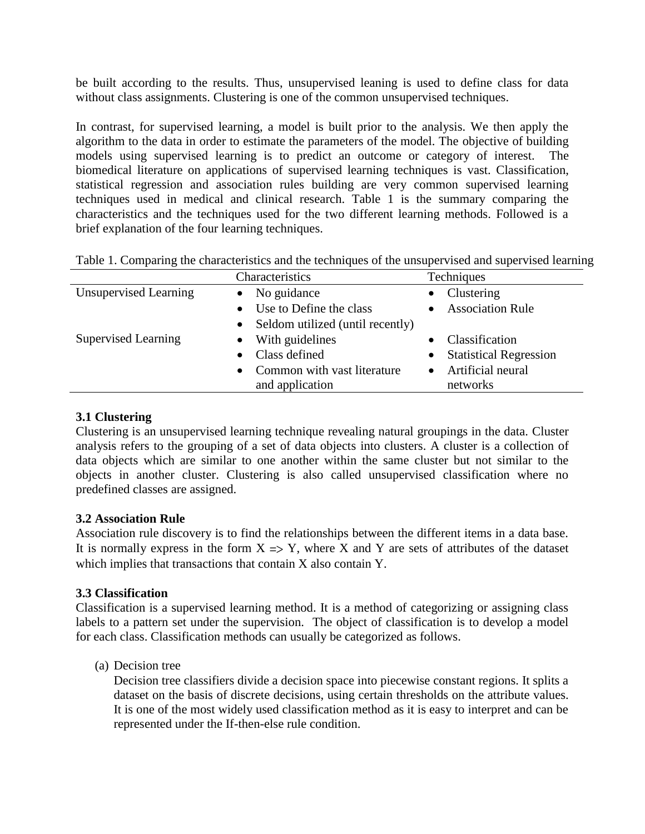be built according to the results. Thus, unsupervised leaning is used to define class for data without class assignments. Clustering is one of the common unsupervised techniques.

In contrast, for supervised learning, a model is built prior to the analysis. We then apply the algorithm to the data in order to estimate the parameters of the model. The objective of building models using supervised learning is to predict an outcome or category of interest. The biomedical literature on applications of supervised learning techniques is vast. Classification, statistical regression and association rules building are very common supervised learning techniques used in medical and clinical research. Table 1 is the summary comparing the characteristics and the techniques used for the two different learning methods. Followed is a brief explanation of the four learning techniques.

| Table 1. Comparing the characteristics and the techniques of the unsupervised and supervised learning |  |  |  |  |  |
|-------------------------------------------------------------------------------------------------------|--|--|--|--|--|
|                                                                                                       |  |  |  |  |  |

|                            | Characteristics                               | Techniques                                 |
|----------------------------|-----------------------------------------------|--------------------------------------------|
| Unsupervised Learning      | $\bullet$ No guidance                         | Clustering<br>$\bullet$                    |
|                            | Use to Define the class<br>$\bullet$          | <b>Association Rule</b>                    |
|                            | Seldom utilized (until recently)<br>$\bullet$ |                                            |
| <b>Supervised Learning</b> | With guidelines<br>$\bullet$                  | Classification                             |
|                            | Class defined<br>$\bullet$                    | <b>Statistical Regression</b><br>$\bullet$ |
|                            | Common with vast literature<br>$\bullet$      | Artificial neural                          |
|                            | and application                               | networks                                   |

## **3.1 Clustering**

Clustering is an unsupervised learning technique revealing natural groupings in the data. Cluster analysis refers to the grouping of a set of data objects into clusters. A cluster is a collection of data objects which are similar to one another within the same cluster but not similar to the objects in another cluster. Clustering is also called unsupervised classification where no predefined classes are assigned.

### **3.2 Association Rule**

Association rule discovery is to find the relationships between the different items in a data base. It is normally express in the form  $X \Rightarrow Y$ , where X and Y are sets of attributes of the dataset which implies that transactions that contain X also contain Y.

## **3.3 Classification**

Classification is a supervised learning method. It is a method of categorizing or assigning class labels to a pattern set under the supervision. The object of classification is to develop a model for each class. Classification methods can usually be categorized as follows.

(a) Decision tree

Decision tree classifiers divide a decision space into piecewise constant regions. It splits a dataset on the basis of discrete decisions, using certain thresholds on the attribute values. It is one of the most widely used classification method as it is easy to interpret and can be represented under the If-then-else rule condition.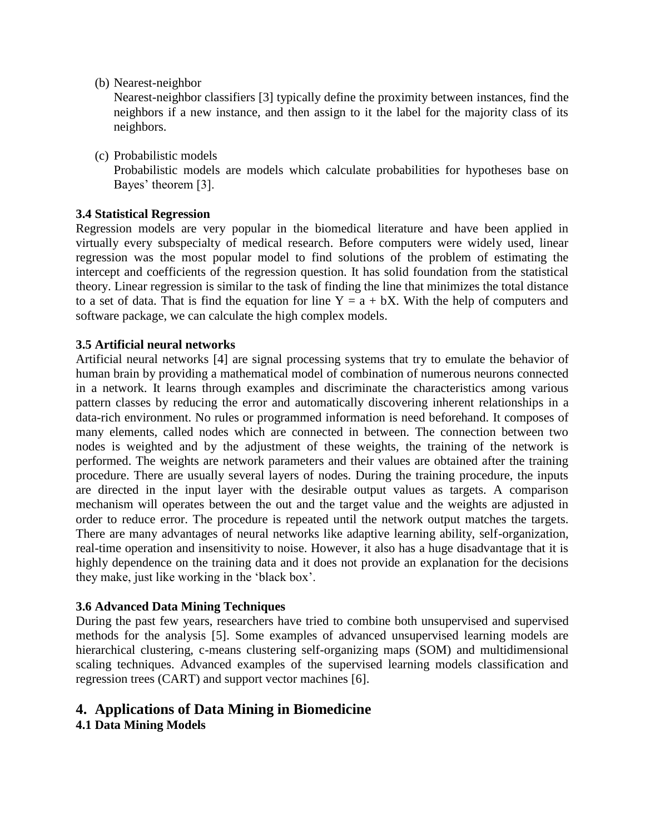(b) Nearest-neighbor

Nearest-neighbor classifiers [3] typically define the proximity between instances, find the neighbors if a new instance, and then assign to it the label for the majority class of its neighbors.

(c) Probabilistic models

Probabilistic models are models which calculate probabilities for hypotheses base on Bayes' theorem [3].

## **3.4 Statistical Regression**

Regression models are very popular in the biomedical literature and have been applied in virtually every subspecialty of medical research. Before computers were widely used, linear regression was the most popular model to find solutions of the problem of estimating the intercept and coefficients of the regression question. It has solid foundation from the statistical theory. Linear regression is similar to the task of finding the line that minimizes the total distance to a set of data. That is find the equation for line  $Y = a + bX$ . With the help of computers and software package, we can calculate the high complex models.

### **3.5 Artificial neural networks**

Artificial neural networks [4] are signal processing systems that try to emulate the behavior of human brain by providing a mathematical model of combination of numerous neurons connected in a network. It learns through examples and discriminate the characteristics among various pattern classes by reducing the error and automatically discovering inherent relationships in a data-rich environment. No rules or programmed information is need beforehand. It composes of many elements, called nodes which are connected in between. The connection between two nodes is weighted and by the adjustment of these weights, the training of the network is performed. The weights are network parameters and their values are obtained after the training procedure. There are usually several layers of nodes. During the training procedure, the inputs are directed in the input layer with the desirable output values as targets. A comparison mechanism will operates between the out and the target value and the weights are adjusted in order to reduce error. The procedure is repeated until the network output matches the targets. There are many advantages of neural networks like adaptive learning ability, self-organization, real-time operation and insensitivity to noise. However, it also has a huge disadvantage that it is highly dependence on the training data and it does not provide an explanation for the decisions they make, just like working in the 'black box'.

### **3.6 Advanced Data Mining Techniques**

During the past few years, researchers have tried to combine both unsupervised and supervised methods for the analysis [5]. Some examples of advanced unsupervised learning models are hierarchical clustering, c-means clustering self-organizing maps (SOM) and multidimensional scaling techniques. Advanced examples of the supervised learning models classification and regression trees (CART) and support vector machines [6].

## **4. Applications of Data Mining in Biomedicine**

**4.1 Data Mining Models**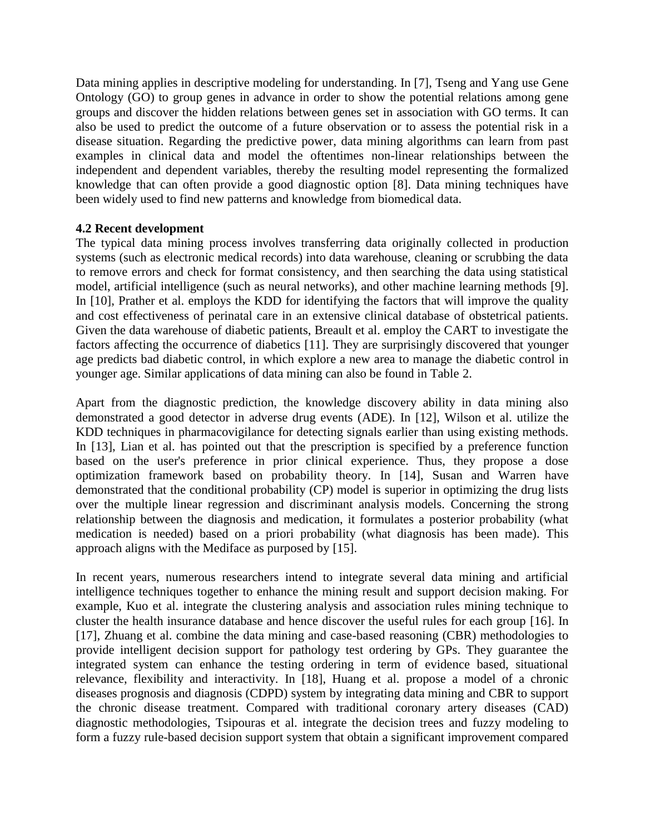Data mining applies in descriptive modeling for understanding. In [7], Tseng and Yang use Gene Ontology (GO) to group genes in advance in order to show the potential relations among gene groups and discover the hidden relations between genes set in association with GO terms. It can also be used to predict the outcome of a future observation or to assess the potential risk in a disease situation. Regarding the predictive power, data mining algorithms can learn from past examples in clinical data and model the oftentimes non-linear relationships between the independent and dependent variables, thereby the resulting model representing the formalized knowledge that can often provide a good diagnostic option [8]. Data mining techniques have been widely used to find new patterns and knowledge from biomedical data.

## **4.2 Recent development**

The typical data mining process involves transferring data originally collected in production systems (such as electronic medical records) into data warehouse, cleaning or scrubbing the data to remove errors and check for format consistency, and then searching the data using statistical model, artificial intelligence (such as neural networks), and other machine learning methods [9]. In [10], Prather et al. employs the KDD for identifying the factors that will improve the quality and cost effectiveness of perinatal care in an extensive clinical database of obstetrical patients. Given the data warehouse of diabetic patients, Breault et al. employ the CART to investigate the factors affecting the occurrence of diabetics [11]. They are surprisingly discovered that younger age predicts bad diabetic control, in which explore a new area to manage the diabetic control in younger age. Similar applications of data mining can also be found in Table 2.

Apart from the diagnostic prediction, the knowledge discovery ability in data mining also demonstrated a good detector in adverse drug events (ADE). In [12], Wilson et al. utilize the KDD techniques in pharmacovigilance for detecting signals earlier than using existing methods. In [13], Lian et al. has pointed out that the prescription is specified by a preference function based on the user's preference in prior clinical experience. Thus, they propose a dose optimization framework based on probability theory. In [14], Susan and Warren have demonstrated that the conditional probability (CP) model is superior in optimizing the drug lists over the multiple linear regression and discriminant analysis models. Concerning the strong relationship between the diagnosis and medication, it formulates a posterior probability (what medication is needed) based on a priori probability (what diagnosis has been made). This approach aligns with the Mediface as purposed by [15].

In recent years, numerous researchers intend to integrate several data mining and artificial intelligence techniques together to enhance the mining result and support decision making. For example, Kuo et al. integrate the clustering analysis and association rules mining technique to cluster the health insurance database and hence discover the useful rules for each group [16]. In [17], Zhuang et al. combine the data mining and case-based reasoning (CBR) methodologies to provide intelligent decision support for pathology test ordering by GPs. They guarantee the integrated system can enhance the testing ordering in term of evidence based, situational relevance, flexibility and interactivity. In [18], Huang et al. propose a model of a chronic diseases prognosis and diagnosis (CDPD) system by integrating data mining and CBR to support the chronic disease treatment. Compared with traditional coronary artery diseases (CAD) diagnostic methodologies, Tsipouras et al. integrate the decision trees and fuzzy modeling to form a fuzzy rule-based decision support system that obtain a significant improvement compared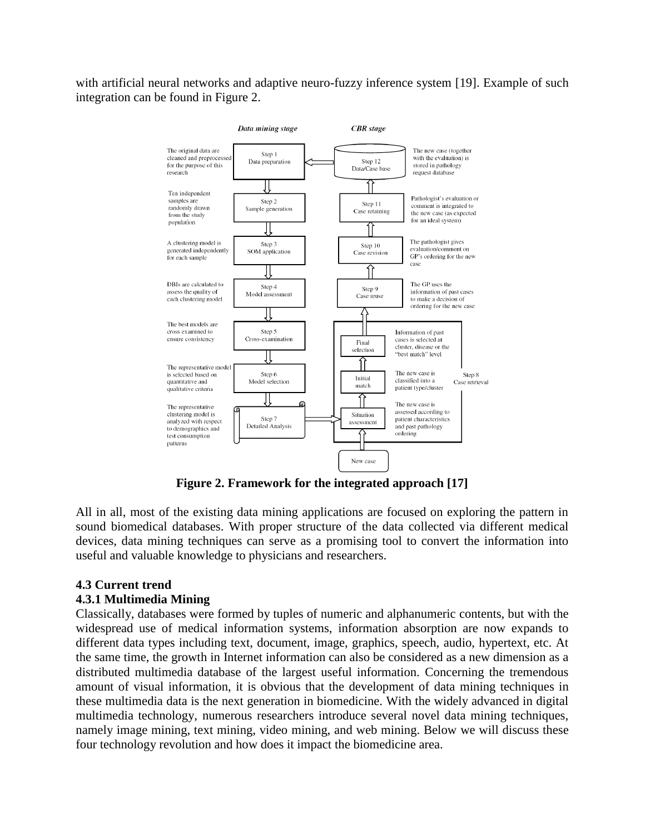with artificial neural networks and adaptive neuro-fuzzy inference system [19]. Example of such integration can be found in Figure 2.



**Figure 2. Framework for the integrated approach [17]**

All in all, most of the existing data mining applications are focused on exploring the pattern in sound biomedical databases. With proper structure of the data collected via different medical devices, data mining techniques can serve as a promising tool to convert the information into useful and valuable knowledge to physicians and researchers.

## **4.3 Current trend**

### **4.3.1 Multimedia Mining**

Classically, databases were formed by tuples of numeric and alphanumeric contents, but with the widespread use of medical information systems, information absorption are now expands to different data types including text, document, image, graphics, speech, audio, hypertext, etc. At the same time, the growth in Internet information can also be considered as a new dimension as a distributed multimedia database of the largest useful information. Concerning the tremendous amount of visual information, it is obvious that the development of data mining techniques in these multimedia data is the next generation in biomedicine. With the widely advanced in digital multimedia technology, numerous researchers introduce several novel data mining techniques, namely image mining, text mining, video mining, and web mining. Below we will discuss these four technology revolution and how does it impact the biomedicine area.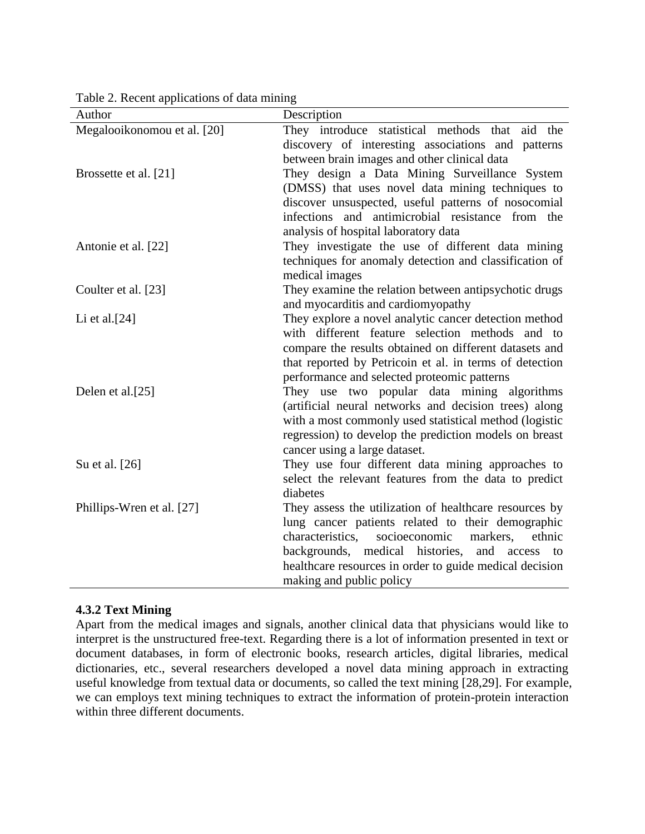| Author                      | Description                                             |
|-----------------------------|---------------------------------------------------------|
| Megalooikonomou et al. [20] | They introduce statistical methods that aid the         |
|                             | discovery of interesting associations and patterns      |
|                             | between brain images and other clinical data            |
| Brossette et al. [21]       | They design a Data Mining Surveillance System           |
|                             | (DMSS) that uses novel data mining techniques to        |
|                             | discover unsuspected, useful patterns of nosocomial     |
|                             | infections and antimicrobial resistance from the        |
|                             | analysis of hospital laboratory data                    |
| Antonie et al. [22]         | They investigate the use of different data mining       |
|                             | techniques for anomaly detection and classification of  |
|                             | medical images                                          |
| Coulter et al. [23]         | They examine the relation between antipsychotic drugs   |
|                             | and myocarditis and cardiomyopathy                      |
| Li et al. $[24]$            | They explore a novel analytic cancer detection method   |
|                             | with different feature selection methods and to         |
|                             | compare the results obtained on different datasets and  |
|                             | that reported by Petricoin et al. in terms of detection |
|                             | performance and selected proteomic patterns             |
| Delen et al.[25]            | They use two popular data mining algorithms             |
|                             | (artificial neural networks and decision trees) along   |
|                             | with a most commonly used statistical method (logistic  |
|                             | regression) to develop the prediction models on breast  |
|                             | cancer using a large dataset.                           |
| Su et al. [26]              | They use four different data mining approaches to       |
|                             | select the relevant features from the data to predict   |
|                             | diabetes                                                |
| Phillips-Wren et al. [27]   | They assess the utilization of healthcare resources by  |
|                             | lung cancer patients related to their demographic       |
|                             | characteristics.<br>socioeconomic<br>ethnic<br>markers. |
|                             | backgrounds, medical histories,<br>and access<br>to     |
|                             | healthcare resources in order to guide medical decision |
|                             | making and public policy                                |

Table 2. Recent applications of data mining

### **4.3.2 Text Mining**

Apart from the medical images and signals, another clinical data that physicians would like to interpret is the unstructured free-text. Regarding there is a lot of information presented in text or document databases, in form of electronic books, research articles, digital libraries, medical dictionaries, etc., several researchers developed a novel data mining approach in extracting useful knowledge from textual data or documents, so called the text mining [28,29]. For example, we can employs text mining techniques to extract the information of protein-protein interaction within three different documents.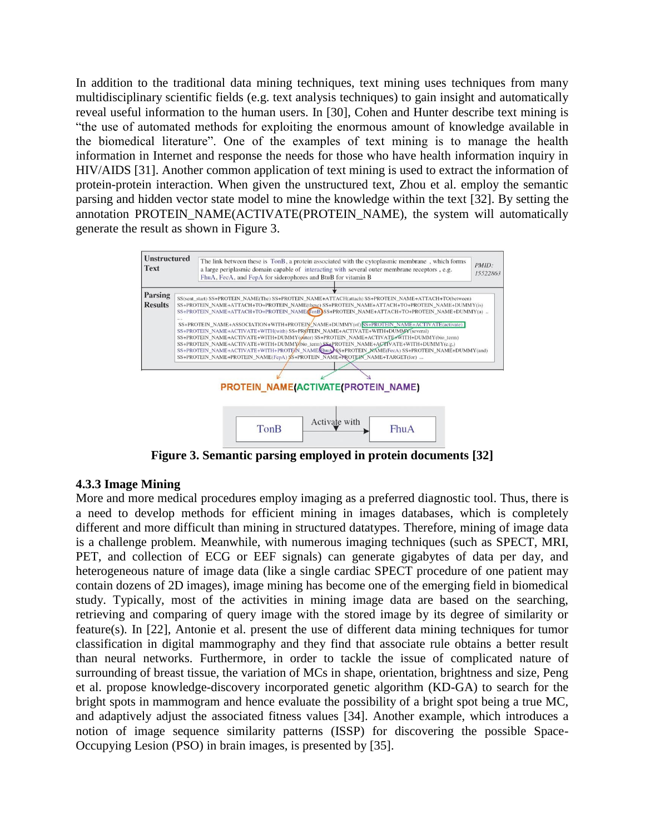In addition to the traditional data mining techniques, text mining uses techniques from many multidisciplinary scientific fields (e.g. text analysis techniques) to gain insight and automatically reveal useful information to the human users. In [30], Cohen and Hunter describe text mining is "the use of automated methods for exploiting the enormous amount of knowledge available in the biomedical literature". One of the examples of text mining is to manage the health information in Internet and response the needs for those who have health information inquiry in HIV/AIDS [31]. Another common application of text mining is used to extract the information of protein-protein interaction. When given the unstructured text, Zhou et al. employ the semantic parsing and hidden vector state model to mine the knowledge within the text [32]. By setting the annotation PROTEIN\_NAME(ACTIVATE(PROTEIN\_NAME), the system will automatically generate the result as shown in Figure 3.



**Figure 3. Semantic parsing employed in protein documents [32]**

### **4.3.3 Image Mining**

More and more medical procedures employ imaging as a preferred diagnostic tool. Thus, there is a need to develop methods for efficient mining in images databases, which is completely different and more difficult than mining in structured datatypes. Therefore, mining of image data is a challenge problem. Meanwhile, with numerous imaging techniques (such as SPECT, MRI, PET, and collection of ECG or EEF signals) can generate gigabytes of data per day, and heterogeneous nature of image data (like a single cardiac SPECT procedure of one patient may contain dozens of 2D images), image mining has become one of the emerging field in biomedical study. Typically, most of the activities in mining image data are based on the searching, retrieving and comparing of query image with the stored image by its degree of similarity or feature(s). In [22], Antonie et al. present the use of different data mining techniques for tumor classification in digital mammography and they find that associate rule obtains a better result than neural networks. Furthermore, in order to tackle the issue of complicated nature of surrounding of breast tissue, the variation of MCs in shape, orientation, brightness and size, Peng et al. propose knowledge-discovery incorporated genetic algorithm (KD-GA) to search for the bright spots in mammogram and hence evaluate the possibility of a bright spot being a true MC, and adaptively adjust the associated fitness values [34]. Another example, which introduces a notion of image sequence similarity patterns (ISSP) for discovering the possible Space-Occupying Lesion (PSO) in brain images, is presented by [35].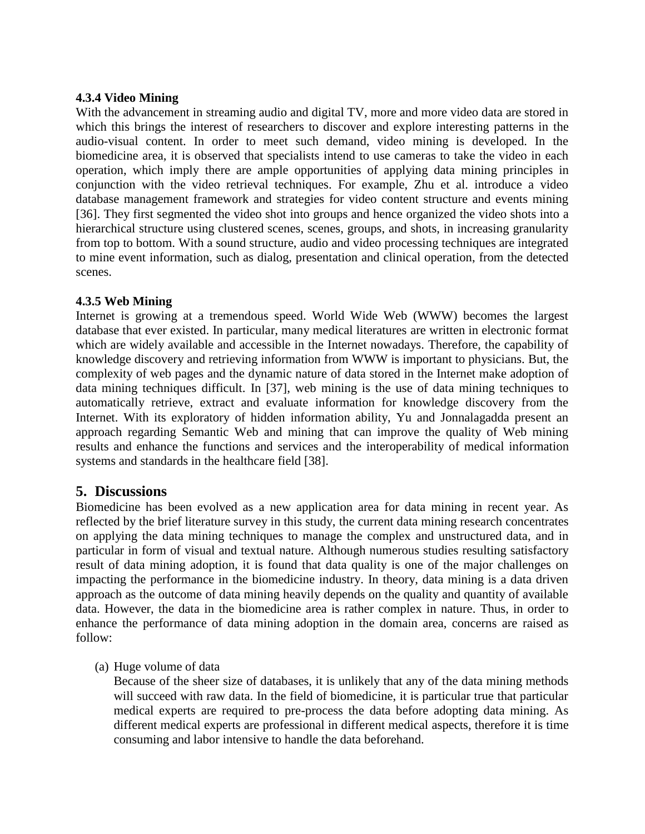### **4.3.4 Video Mining**

With the advancement in streaming audio and digital TV, more and more video data are stored in which this brings the interest of researchers to discover and explore interesting patterns in the audio-visual content. In order to meet such demand, video mining is developed. In the biomedicine area, it is observed that specialists intend to use cameras to take the video in each operation, which imply there are ample opportunities of applying data mining principles in conjunction with the video retrieval techniques. For example, Zhu et al. introduce a video database management framework and strategies for video content structure and events mining [36]. They first segmented the video shot into groups and hence organized the video shots into a hierarchical structure using clustered scenes, scenes, groups, and shots, in increasing granularity from top to bottom. With a sound structure, audio and video processing techniques are integrated to mine event information, such as dialog, presentation and clinical operation, from the detected scenes.

### **4.3.5 Web Mining**

Internet is growing at a tremendous speed. World Wide Web (WWW) becomes the largest database that ever existed. In particular, many medical literatures are written in electronic format which are widely available and accessible in the Internet nowadays. Therefore, the capability of knowledge discovery and retrieving information from WWW is important to physicians. But, the complexity of web pages and the dynamic nature of data stored in the Internet make adoption of data mining techniques difficult. In [37], web mining is the use of data mining techniques to automatically retrieve, extract and evaluate information for knowledge discovery from the Internet. With its exploratory of hidden information ability, Yu and Jonnalagadda present an approach regarding Semantic Web and mining that can improve the quality of Web mining results and enhance the functions and services and the interoperability of medical information systems and standards in the healthcare field [38].

## **5. Discussions**

Biomedicine has been evolved as a new application area for data mining in recent year. As reflected by the brief literature survey in this study, the current data mining research concentrates on applying the data mining techniques to manage the complex and unstructured data, and in particular in form of visual and textual nature. Although numerous studies resulting satisfactory result of data mining adoption, it is found that data quality is one of the major challenges on impacting the performance in the biomedicine industry. In theory, data mining is a data driven approach as the outcome of data mining heavily depends on the quality and quantity of available data. However, the data in the biomedicine area is rather complex in nature. Thus, in order to enhance the performance of data mining adoption in the domain area, concerns are raised as follow:

(a) Huge volume of data

Because of the sheer size of databases, it is unlikely that any of the data mining methods will succeed with raw data. In the field of biomedicine, it is particular true that particular medical experts are required to pre-process the data before adopting data mining. As different medical experts are professional in different medical aspects, therefore it is time consuming and labor intensive to handle the data beforehand.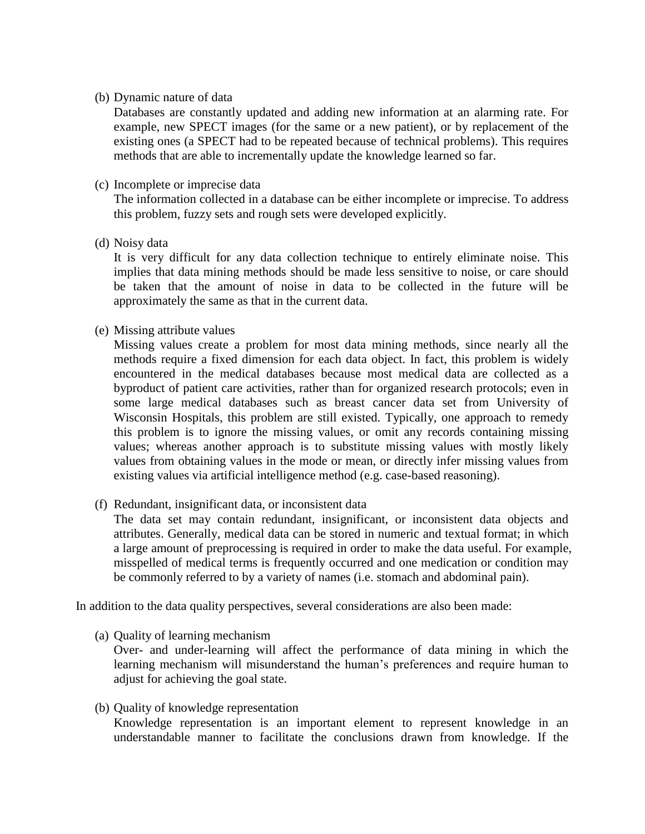### (b) Dynamic nature of data

Databases are constantly updated and adding new information at an alarming rate. For example, new SPECT images (for the same or a new patient), or by replacement of the existing ones (a SPECT had to be repeated because of technical problems). This requires methods that are able to incrementally update the knowledge learned so far.

### (c) Incomplete or imprecise data

The information collected in a database can be either incomplete or imprecise. To address this problem, fuzzy sets and rough sets were developed explicitly.

(d) Noisy data

It is very difficult for any data collection technique to entirely eliminate noise. This implies that data mining methods should be made less sensitive to noise, or care should be taken that the amount of noise in data to be collected in the future will be approximately the same as that in the current data.

(e) Missing attribute values

Missing values create a problem for most data mining methods, since nearly all the methods require a fixed dimension for each data object. In fact, this problem is widely encountered in the medical databases because most medical data are collected as a byproduct of patient care activities, rather than for organized research protocols; even in some large medical databases such as breast cancer data set from University of Wisconsin Hospitals, this problem are still existed. Typically, one approach to remedy this problem is to ignore the missing values, or omit any records containing missing values; whereas another approach is to substitute missing values with mostly likely values from obtaining values in the mode or mean, or directly infer missing values from existing values via artificial intelligence method (e.g. case-based reasoning).

(f) Redundant, insignificant data, or inconsistent data

The data set may contain redundant, insignificant, or inconsistent data objects and attributes. Generally, medical data can be stored in numeric and textual format; in which a large amount of preprocessing is required in order to make the data useful. For example, misspelled of medical terms is frequently occurred and one medication or condition may be commonly referred to by a variety of names (i.e. stomach and abdominal pain).

In addition to the data quality perspectives, several considerations are also been made:

(a) Quality of learning mechanism

Over- and under-learning will affect the performance of data mining in which the learning mechanism will misunderstand the human's preferences and require human to adjust for achieving the goal state.

(b) Quality of knowledge representation Knowledge representation is an important element to represent knowledge in an understandable manner to facilitate the conclusions drawn from knowledge. If the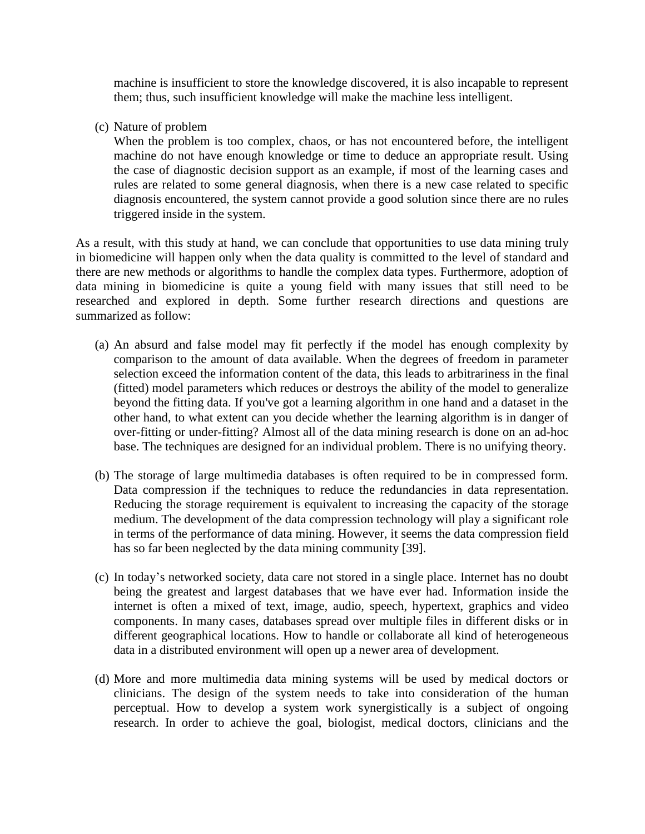machine is insufficient to store the knowledge discovered, it is also incapable to represent them; thus, such insufficient knowledge will make the machine less intelligent.

(c) Nature of problem

When the problem is too complex, chaos, or has not encountered before, the intelligent machine do not have enough knowledge or time to deduce an appropriate result. Using the case of diagnostic decision support as an example, if most of the learning cases and rules are related to some general diagnosis, when there is a new case related to specific diagnosis encountered, the system cannot provide a good solution since there are no rules triggered inside in the system.

As a result, with this study at hand, we can conclude that opportunities to use data mining truly in biomedicine will happen only when the data quality is committed to the level of standard and there are new methods or algorithms to handle the complex data types. Furthermore, adoption of data mining in biomedicine is quite a young field with many issues that still need to be researched and explored in depth. Some further research directions and questions are summarized as follow:

- (a) An absurd and false model may fit perfectly if the model has enough complexity by comparison to the amount of data available. When the degrees of freedom in parameter selection exceed the information content of the data, this leads to arbitrariness in the final (fitted) model parameters which reduces or destroys the ability of the model to generalize beyond the fitting data. If you've got a learning algorithm in one hand and a dataset in the other hand, to what extent can you decide whether the learning algorithm is in danger of over-fitting or under-fitting? Almost all of the data mining research is done on an ad-hoc base. The techniques are designed for an individual problem. There is no unifying theory.
- (b) The storage of large multimedia databases is often required to be in compressed form. Data compression if the techniques to reduce the redundancies in data representation. Reducing the storage requirement is equivalent to increasing the capacity of the storage medium. The development of the data compression technology will play a significant role in terms of the performance of data mining. However, it seems the data compression field has so far been neglected by the data mining community [39].
- (c) In today's networked society, data care not stored in a single place. Internet has no doubt being the greatest and largest databases that we have ever had. Information inside the internet is often a mixed of text, image, audio, speech, hypertext, graphics and video components. In many cases, databases spread over multiple files in different disks or in different geographical locations. How to handle or collaborate all kind of heterogeneous data in a distributed environment will open up a newer area of development.
- (d) More and more multimedia data mining systems will be used by medical doctors or clinicians. The design of the system needs to take into consideration of the human perceptual. How to develop a system work synergistically is a subject of ongoing research. In order to achieve the goal, biologist, medical doctors, clinicians and the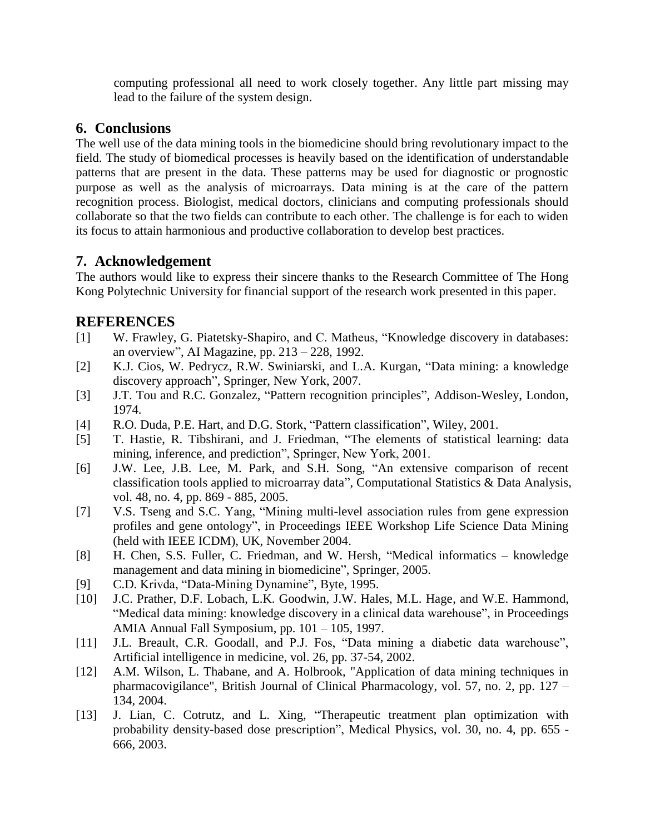computing professional all need to work closely together. Any little part missing may lead to the failure of the system design.

## **6. Conclusions**

The well use of the data mining tools in the biomedicine should bring revolutionary impact to the field. The study of biomedical processes is heavily based on the identification of understandable patterns that are present in the data. These patterns may be used for diagnostic or prognostic purpose as well as the analysis of microarrays. Data mining is at the care of the pattern recognition process. Biologist, medical doctors, clinicians and computing professionals should collaborate so that the two fields can contribute to each other. The challenge is for each to widen its focus to attain harmonious and productive collaboration to develop best practices.

## **7. Acknowledgement**

The authors would like to express their sincere thanks to the Research Committee of The Hong Kong Polytechnic University for financial support of the research work presented in this paper.

## **REFERENCES**

- [1] W. Frawley, G. Piatetsky-Shapiro, and C. Matheus, "Knowledge discovery in databases: an overview", AI Magazine, pp. 213 – 228, 1992.
- [2] K.J. Cios, W. Pedrycz, R.W. Swiniarski, and L.A. Kurgan, "Data mining: a knowledge discovery approach", Springer, New York, 2007.
- [3] J.T. Tou and R.C. Gonzalez, "Pattern recognition principles", Addison-Wesley, London, 1974.
- [4] R.O. Duda, P.E. Hart, and D.G. Stork, "Pattern classification", Wiley, 2001.
- [5] T. Hastie, R. Tibshirani, and J. Friedman, "The elements of statistical learning: data mining, inference, and prediction", Springer, New York, 2001.
- [6] J.W. Lee, J.B. Lee, M. Park, and S.H. Song, "An extensive comparison of recent classification tools applied to microarray data", Computational Statistics & Data Analysis, vol. 48, no. 4, pp. 869 - 885, 2005.
- [7] V.S. Tseng and S.C. Yang, "Mining multi-level association rules from gene expression profiles and gene ontology", in Proceedings IEEE Workshop Life Science Data Mining (held with IEEE ICDM), UK, November 2004.
- [8] H. Chen, S.S. Fuller, C. Friedman, and W. Hersh, "Medical informatics knowledge management and data mining in biomedicine", Springer, 2005.
- [9] C.D. Krivda, "Data-Mining Dynamine", Byte, 1995.
- [10] J.C. Prather, D.F. Lobach, L.K. Goodwin, J.W. Hales, M.L. Hage, and W.E. Hammond, "Medical data mining: knowledge discovery in a clinical data warehouse", in Proceedings AMIA Annual Fall Symposium, pp. 101 – 105, 1997.
- [11] J.L. Breault, C.R. Goodall, and P.J. Fos, "Data mining a diabetic data warehouse", Artificial intelligence in medicine, vol. 26, pp. 37-54, 2002.
- [12] A.M. Wilson, L. Thabane, and A. Holbrook, "Application of data mining techniques in pharmacovigilance", British Journal of Clinical Pharmacology, vol. 57, no. 2, pp. 127 – 134, 2004.
- [13] J. Lian, C. Cotrutz, and L. Xing, "Therapeutic treatment plan optimization with probability density-based dose prescription", Medical Physics, vol. 30, no. 4, pp. 655 - 666, 2003.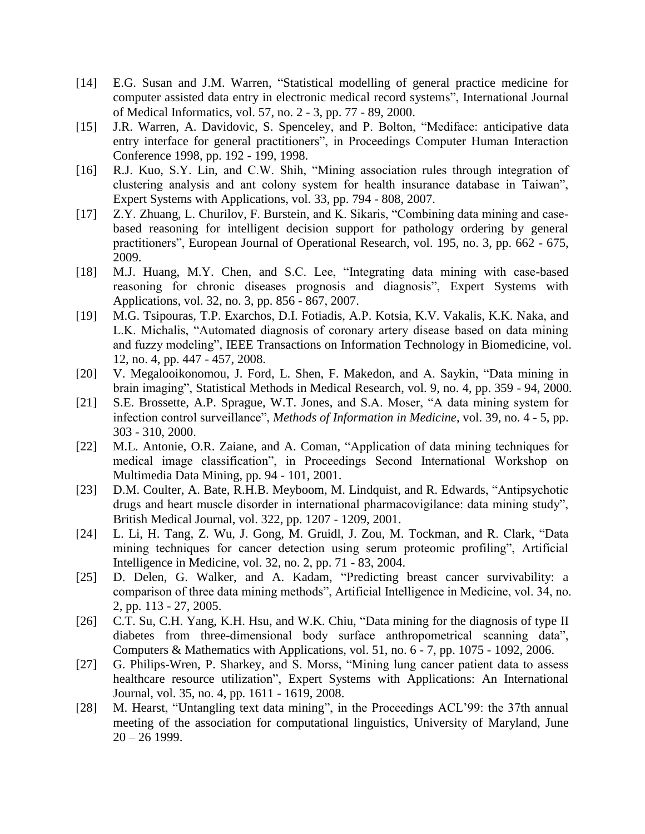- [14] E.G. Susan and J.M. Warren, "Statistical modelling of general practice medicine for computer assisted data entry in electronic medical record systems", International Journal of Medical Informatics, vol. 57, no. 2 - 3, pp. 77 - 89, 2000.
- [15] J.R. Warren, A. Davidovic, S. Spenceley, and P. Bolton, "Mediface: anticipative data entry interface for general practitioners", in Proceedings Computer Human Interaction Conference 1998, pp. 192 - 199, 1998.
- [16] R.J. Kuo, S.Y. Lin, and C.W. Shih, "Mining association rules through integration of clustering analysis and ant colony system for health insurance database in Taiwan", Expert Systems with Applications, vol. 33, pp. 794 - 808, 2007.
- [17] Z.Y. Zhuang, L. Churilov, F. Burstein, and K. Sikaris, "Combining data mining and casebased reasoning for intelligent decision support for pathology ordering by general practitioners", European Journal of Operational Research, vol. 195, no. 3, pp. 662 - 675, 2009.
- [18] M.J. Huang, M.Y. Chen, and S.C. Lee, "Integrating data mining with case-based reasoning for chronic diseases prognosis and diagnosis", Expert Systems with Applications, vol. 32, no. 3, pp. 856 - 867, 2007.
- [19] M.G. Tsipouras, T.P. Exarchos, D.I. Fotiadis, A.P. Kotsia, K.V. Vakalis, K.K. Naka, and L.K. Michalis, "Automated diagnosis of coronary artery disease based on data mining and fuzzy modeling", IEEE Transactions on Information Technology in Biomedicine, vol. 12, no. 4, pp. 447 - 457, 2008.
- [20] V. Megalooikonomou, J. Ford, L. Shen, F. Makedon, and A. Saykin, "Data mining in brain imaging", Statistical Methods in Medical Research, vol. 9, no. 4, pp. 359 - 94, 2000.
- [21] S.E. Brossette, A.P. Sprague, W.T. Jones, and S.A. Moser, "A data mining system for infection control surveillance", *Methods of Information in Medicine*, vol. 39, no. 4 - 5, pp. 303 - 310, 2000.
- [22] M.L. Antonie, O.R. Zaiane, and A. Coman, "Application of data mining techniques for medical image classification", in Proceedings Second International Workshop on Multimedia Data Mining, pp. 94 - 101, 2001.
- [23] D.M. Coulter, A. Bate, R.H.B. Meyboom, M. Lindquist, and R. Edwards, "Antipsychotic drugs and heart muscle disorder in international pharmacovigilance: data mining study", British Medical Journal, vol. 322, pp. 1207 - 1209, 2001.
- [24] L. Li, H. Tang, Z. Wu, J. Gong, M. Gruidl, J. Zou, M. Tockman, and R. Clark, "Data mining techniques for cancer detection using serum proteomic profiling", Artificial Intelligence in Medicine, vol. 32, no. 2, pp. 71 - 83, 2004.
- [25] D. Delen, G. Walker, and A. Kadam, "Predicting breast cancer survivability: a comparison of three data mining methods", Artificial Intelligence in Medicine, vol. 34, no. 2, pp. 113 - 27, 2005.
- [26] C.T. Su, C.H. Yang, K.H. Hsu, and W.K. Chiu, "Data mining for the diagnosis of type II diabetes from three-dimensional body surface anthropometrical scanning data", Computers & Mathematics with Applications, vol. 51, no. 6 - 7, pp. 1075 - 1092, 2006.
- [27] G. Philips-Wren, P. Sharkey, and S. Morss, "Mining lung cancer patient data to assess healthcare resource utilization", Expert Systems with Applications: An International Journal, vol. 35, no. 4, pp. 1611 - 1619, 2008.
- [28] M. Hearst, "Untangling text data mining", in the Proceedings ACL'99: the 37th annual meeting of the association for computational linguistics, University of Maryland, June  $20 - 26$  1999.